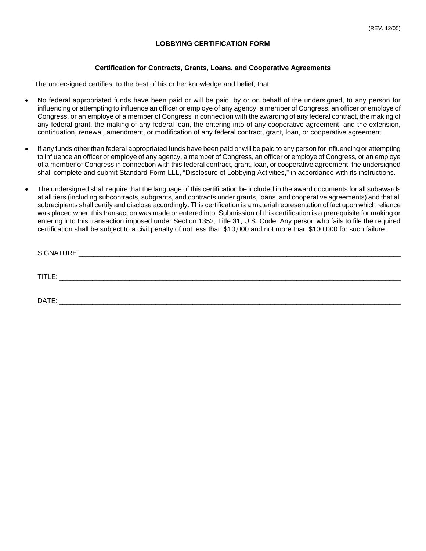# **LOBBYING CERTIFICATION FORM**

#### **Certification for Contracts, Grants, Loans, and Cooperative Agreements**

The undersigned certifies, to the best of his or her knowledge and belief, that:

- No federal appropriated funds have been paid or will be paid, by or on behalf of the undersigned, to any person for influencing or attempting to influence an officer or employe of any agency, a member of Congress, an officer or employe of Congress, or an employe of a member of Congress in connection with the awarding of any federal contract, the making of any federal grant, the making of any federal loan, the entering into of any cooperative agreement, and the extension, continuation, renewal, amendment, or modification of any federal contract, grant, loan, or cooperative agreement.
- If any funds other than federal appropriated funds have been paid or will be paid to any person for influencing or attempting to influence an officer or employe of any agency, a member of Congress, an officer or employe of Congress, or an employe of a member of Congress in connection with this federal contract, grant, loan, or cooperative agreement, the undersigned shall complete and submit Standard Form-LLL, "Disclosure of Lobbying Activities," in accordance with its instructions.
- The undersigned shall require that the language of this certification be included in the award documents for all subawards at all tiers (including subcontracts, subgrants, and contracts under grants, loans, and cooperative agreements) and that all subrecipients shall certify and disclose accordingly. This certification is a material representation of fact upon which reliance was placed when this transaction was made or entered into. Submission of this certification is a prerequisite for making or entering into this transaction imposed under Section 1352, Title 31, U.S. Code. Any person who fails to file the required certification shall be subject to a civil penalty of not less than \$10,000 and not more than \$100,000 for such failure.

| SIGNATURE: |  |  |
|------------|--|--|
|            |  |  |
| TITLE:     |  |  |
|            |  |  |

 $\blacksquare$  DATE: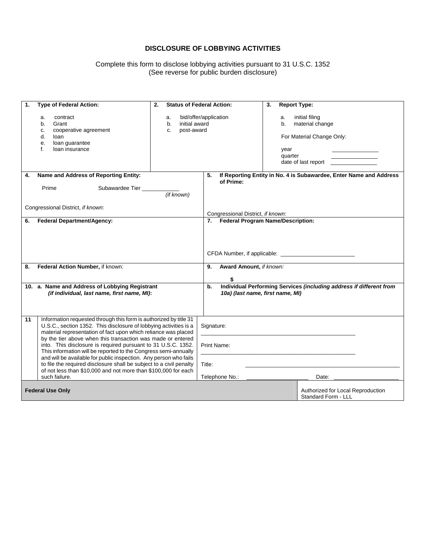# **DISCLOSURE OF LOBBYING ACTIVITIES**

#### Complete this form to disclose lobbying activities pursuant to 31 U.S.C. 1352 (See reverse for public burden disclosure)

| 1.                                                                                                                                                                                                                                                                                                                                                                                                                                                                                                                                                                                                                              | <b>Type of Federal Action:</b>                                                                                             | <b>Status of Federal Action:</b><br>2.        |                                                                                                                     | 3.<br><b>Report Type:</b>                                                                                                             |
|---------------------------------------------------------------------------------------------------------------------------------------------------------------------------------------------------------------------------------------------------------------------------------------------------------------------------------------------------------------------------------------------------------------------------------------------------------------------------------------------------------------------------------------------------------------------------------------------------------------------------------|----------------------------------------------------------------------------------------------------------------------------|-----------------------------------------------|---------------------------------------------------------------------------------------------------------------------|---------------------------------------------------------------------------------------------------------------------------------------|
|                                                                                                                                                                                                                                                                                                                                                                                                                                                                                                                                                                                                                                 | contract<br>a.<br>Grant<br>b.<br>cooperative agreement<br>c.<br>d.<br>loan<br>loan guarantee<br>е.<br>f.<br>loan insurance | a.<br>initial award<br>b.<br>post-award<br>C. | bid/offer/application                                                                                               | initial filing<br>a.<br>material change<br>b.<br>For Material Change Only:<br>year<br>quarter<br>date of last report ________________ |
| 4.                                                                                                                                                                                                                                                                                                                                                                                                                                                                                                                                                                                                                              | Name and Address of Reporting Entity:                                                                                      |                                               | 5.<br>of Prime:                                                                                                     | If Reporting Entity in No. 4 is Subawardee, Enter Name and Address                                                                    |
|                                                                                                                                                                                                                                                                                                                                                                                                                                                                                                                                                                                                                                 | Subawardee Tier<br>Prime                                                                                                   | $(T$ (if known)                               |                                                                                                                     |                                                                                                                                       |
|                                                                                                                                                                                                                                                                                                                                                                                                                                                                                                                                                                                                                                 |                                                                                                                            |                                               |                                                                                                                     |                                                                                                                                       |
| Congressional District, if known:                                                                                                                                                                                                                                                                                                                                                                                                                                                                                                                                                                                               |                                                                                                                            | Congressional District, if known:             |                                                                                                                     |                                                                                                                                       |
| 6.                                                                                                                                                                                                                                                                                                                                                                                                                                                                                                                                                                                                                              | <b>Federal Department/Agency:</b>                                                                                          |                                               | <b>Federal Program Name/Description:</b><br>7.                                                                      |                                                                                                                                       |
|                                                                                                                                                                                                                                                                                                                                                                                                                                                                                                                                                                                                                                 |                                                                                                                            |                                               |                                                                                                                     |                                                                                                                                       |
| 8.                                                                                                                                                                                                                                                                                                                                                                                                                                                                                                                                                                                                                              | Federal Action Number, if known:                                                                                           |                                               | Award Amount, if known:<br>9.                                                                                       |                                                                                                                                       |
|                                                                                                                                                                                                                                                                                                                                                                                                                                                                                                                                                                                                                                 | 10. a. Name and Address of Lobbying Registrant                                                                             |                                               | \$<br>b.                                                                                                            | Individual Performing Services (including address if different from                                                                   |
|                                                                                                                                                                                                                                                                                                                                                                                                                                                                                                                                                                                                                                 | (if individual, last name, first name, MI):                                                                                |                                               |                                                                                                                     | 10a) (last name, first name, MI)                                                                                                      |
| Information requested through this form is authorized by title 31<br>11<br>U.S.C., section 1352. This disclosure of lobbying activities is a<br>material representation of fact upon which reliance was placed<br>by the tier above when this transaction was made or entered<br>into. This disclosure is required pursuant to 31 U.S.C. 1352.<br>This information will be reported to the Congress semi-annually<br>and will be available for public inspection. Any person who fails<br>to file the required disclosure shall be subject to a civil penalty<br>of not less than \$10,000 and not more than \$100,000 for each |                                                                                                                            | Signature:                                    | <u> 2002 - Johann Johann Barn, mars eta bat erroman eta bat erroman erroman ezkin erroman ezkin erroman ezkin e</u> |                                                                                                                                       |
|                                                                                                                                                                                                                                                                                                                                                                                                                                                                                                                                                                                                                                 |                                                                                                                            | Print Name:                                   |                                                                                                                     |                                                                                                                                       |
|                                                                                                                                                                                                                                                                                                                                                                                                                                                                                                                                                                                                                                 |                                                                                                                            | Title:                                        |                                                                                                                     |                                                                                                                                       |
|                                                                                                                                                                                                                                                                                                                                                                                                                                                                                                                                                                                                                                 | such failure.                                                                                                              |                                               | Telephone No.:                                                                                                      | Date:                                                                                                                                 |
|                                                                                                                                                                                                                                                                                                                                                                                                                                                                                                                                                                                                                                 | <b>Federal Use Only</b>                                                                                                    |                                               |                                                                                                                     | Authorized for Local Reproduction<br>Standard Form - LLL                                                                              |